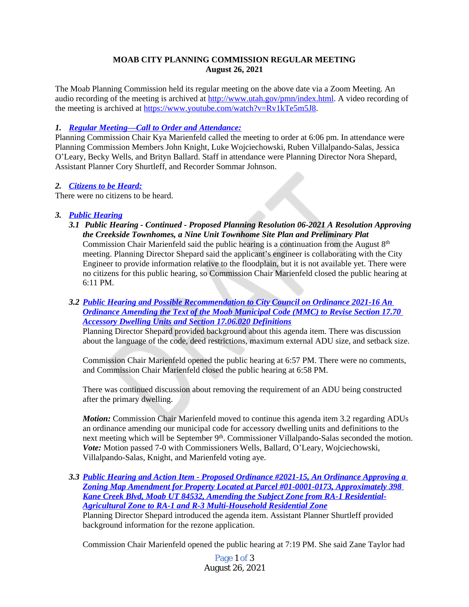### **MOAB CITY PLANNING COMMISSION REGULAR MEETING August 26, 2021**

The Moab Planning Commission held its regular meeting on the above date via a Zoom Meeting. An audio recording of the meeting is archived at [http://www.utah.gov/pmn/index.html.](http://www.utah.gov/pmn/index.html) A video recording of the meeting is archived at [https://www.youtube.com/watch?v=Rv1kTe5m5J8.](https://www.youtube.com/watch?v=Rv1kTe5m5J8)

## *1. Regular Meeting—[Call to Order and Attendance:](https://youtu.be/Rv1kTe5m5J8?t=35)*

Planning Commission Chair Kya Marienfeld called the meeting to order at 6:06 pm. In attendance were Planning Commission Members John Knight, Luke Wojciechowski, Ruben Villalpando-Salas, Jessica O'Leary, Becky Wells, and Brityn Ballard. Staff in attendance were Planning Director Nora Shepard, Assistant Planner Cory Shurtleff, and Recorder Sommar Johnson.

### *2. [Citizens to be Heard:](https://youtu.be/Rv1kTe5m5J8?t=63)*

There were no citizens to be heard.

# *3. [Public Hearing](https://youtu.be/Rv1kTe5m5J8?t=174)*

- *3.1 Public Hearing Continued Proposed Planning Resolution 06-2021 A Resolution Approving the Creekside Townhomes, a Nine Unit Townhome Site Plan and Preliminary Plat* Commission Chair Marienfeld said the public hearing is a continuation from the August  $8<sup>th</sup>$ meeting. Planning Director Shepard said the applicant's engineer is collaborating with the City Engineer to provide information relative to the floodplain, but it is not available yet. There were no citizens for this public hearing, so Commission Chair Marienfeld closed the public hearing at 6:11 PM.
- *3.2 [Public Hearing and Possible Recommendation to City Council on Ordinance 2021-16 An](https://youtu.be/Rv1kTe5m5J8?t=306)  Ordinance Amending the Text of the Moab Municipal Code (MMC) to Revise Section 17.70 Accessory Dwelling Units and Section 17.06.020 Definitions*

Planning Director Shepard provided background about this agenda item. There was discussion about the language of the code, deed restrictions, maximum external ADU size, and setback size.

Commission Chair Marienfeld opened the public hearing at 6:57 PM. There were no comments, and Commission Chair Marienfeld closed the public hearing at 6:58 PM.

There was continued discussion about removing the requirement of an ADU being constructed after the primary dwelling.

*Motion:* Commission Chair Marienfeld moved to continue this agenda item 3.2 regarding ADUs an ordinance amending our municipal code for accessory dwelling units and definitions to the next meeting which will be September 9<sup>th</sup>. Commissioner Villalpando-Salas seconded the motion. *Vote:* Motion passed 7-0 with Commissioners Wells, Ballard, O'Leary, Wojciechowski, Villalpando-Salas, Knight, and Marienfeld voting aye.

*3.3 [Public Hearing and Action Item - Proposed Ordinance #2021-15, An Ordinance Approving a](https://youtu.be/Rv1kTe5m5J8?t=3479)  Zoning Map Amendment for Property Located at Parcel #01-0001-0173, Approximately 398 Kane Creek Blvd, Moab UT 84532, Amending the Subject Zone from RA-1 Residential-Agricultural Zone to RA-1 and R-3 Multi-Household Residential Zone* Planning Director Shepard introduced the agenda item. Assistant Planner Shurtleff provided background information for the rezone application.

Commission Chair Marienfeld opened the public hearing at 7:19 PM. She said Zane Taylor had

Page 1 of 3 August 26, 2021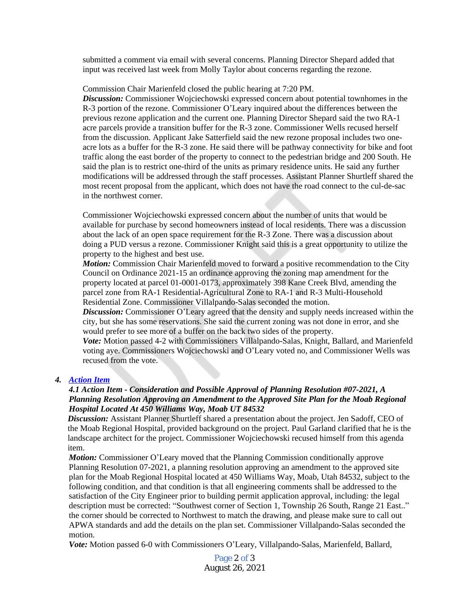submitted a comment via email with several concerns. Planning Director Shepard added that input was received last week from Molly Taylor about concerns regarding the rezone.

#### Commission Chair Marienfeld closed the public hearing at 7:20 PM.

*Discussion:* Commissioner Wojciechowski expressed concern about potential townhomes in the R-3 portion of the rezone. Commissioner O'Leary inquired about the differences between the previous rezone application and the current one. Planning Director Shepard said the two RA-1 acre parcels provide a transition buffer for the R-3 zone. Commissioner Wells recused herself from the discussion. Applicant Jake Satterfield said the new rezone proposal includes two oneacre lots as a buffer for the R-3 zone. He said there will be pathway connectivity for bike and foot traffic along the east border of the property to connect to the pedestrian bridge and 200 South. He said the plan is to restrict one-third of the units as primary residence units. He said any further modifications will be addressed through the staff processes. Assistant Planner Shurtleff shared the most recent proposal from the applicant, which does not have the road connect to the cul-de-sac in the northwest corner.

Commissioner Wojciechowski expressed concern about the number of units that would be available for purchase by second homeowners instead of local residents. There was a discussion about the lack of an open space requirement for the R-3 Zone. There was a discussion about doing a PUD versus a rezone. Commissioner Knight said this is a great opportunity to utilize the property to the highest and best use.

*Motion:* Commission Chair Marienfeld moved to forward a positive recommendation to the City Council on Ordinance 2021-15 an ordinance approving the zoning map amendment for the property located at parcel 01-0001-0173, approximately 398 Kane Creek Blvd, amending the parcel zone from RA-1 Residential-Agricultural Zone to RA-1 and R-3 Multi-Household Residential Zone. Commissioner Villalpando-Salas seconded the motion.

*Discussion:* Commissioner O'Leary agreed that the density and supply needs increased within the city, but she has some reservations. She said the current zoning was not done in error, and she would prefer to see more of a buffer on the back two sides of the property.

*Vote:* Motion passed 4-2 with Commissioners Villalpando-Salas, Knight, Ballard, and Marienfeld voting aye. Commissioners Wojciechowski and O'Leary voted no, and Commissioner Wells was recused from the vote.

#### *4. [Action Item](https://youtu.be/Rv1kTe5m5J8?t=6428)*

### *4.1 Action Item - Consideration and Possible Approval of Planning Resolution #07-2021, A Planning Resolution Approving an Amendment to the Approved Site Plan for the Moab Regional Hospital Located At 450 Williams Way, Moab UT 84532*

*Discussion:* Assistant Planner Shurtleff shared a presentation about the project. Jen Sadoff, CEO of the Moab Regional Hospital, provided background on the project. Paul Garland clarified that he is the landscape architect for the project. Commissioner Wojciechowski recused himself from this agenda item.

*Motion:* Commissioner O'Leary moved that the Planning Commission conditionally approve Planning Resolution 07-2021, a planning resolution approving an amendment to the approved site plan for the Moab Regional Hospital located at 450 Williams Way, Moab, Utah 84532, subject to the following condition, and that condition is that all engineering comments shall be addressed to the satisfaction of the City Engineer prior to building permit application approval, including: the legal description must be corrected: "Southwest corner of Section 1, Township 26 South, Range 21 East.." the corner should be corrected to Northwest to match the drawing, and please make sure to call out APWA standards and add the details on the plan set. Commissioner Villalpando-Salas seconded the motion.

*Vote:* Motion passed 6-0 with Commissioners O'Leary, Villalpando-Salas, Marienfeld, Ballard,

Page 2 of 3 August 26, 2021